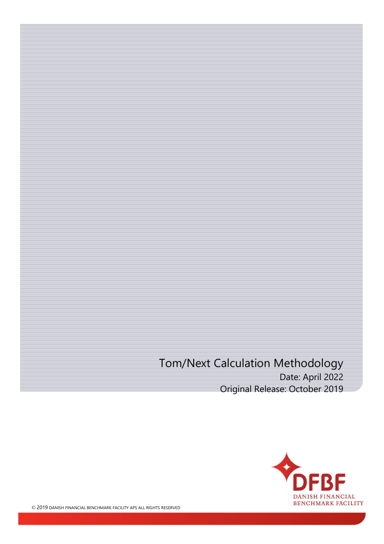### Tom/Next Calculation Methodology Date: April 2022 Original Release: October 2019



© 2019 DANISH FINANCIAL BENCHMARK FACILITY APS ALL RIGHTS RESERVED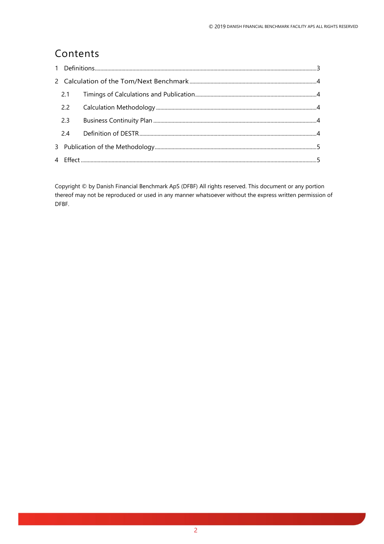### Contents

Copyright © by Danish Financial Benchmark ApS (DFBF) All rights reserved. This document or any portion thereof may not be reproduced or used in any manner whatsoever without the express written permission of DFBF.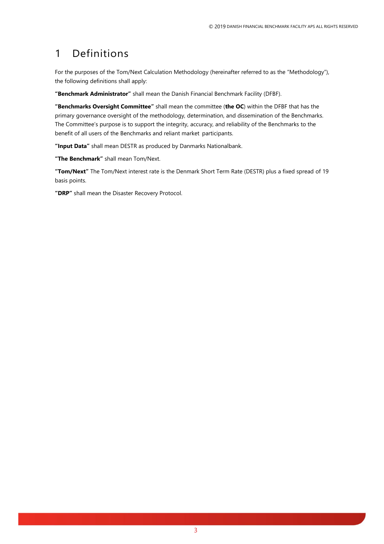### <span id="page-2-0"></span>1 Definitions

For the purposes of the Tom/Next Calculation Methodology (hereinafter referred to as the "Methodology"), the following definitions shall apply:

**"Benchmark Administrator"** shall mean the Danish Financial Benchmark Facility (DFBF).

**"Benchmarks Oversight Committee"** shall mean the committee (**the OC**) within the DFBF that has the primary governance oversight of the methodology, determination, and dissemination of the Benchmarks. The Committee's purpose is to support the integrity, accuracy, and reliability of the Benchmarks to the benefit of all users of the Benchmarks and reliant market participants.

**"Input Data"** shall mean DESTR as produced by Danmarks Nationalbank.

**"The Benchmark"** shall mean Tom/Next.

**"Tom/Next"** The Tom/Next interest rate is the Denmark Short Term Rate (DESTR) plus a fixed spread of 19 basis points.

**"DRP"** shall mean the Disaster Recovery Protocol.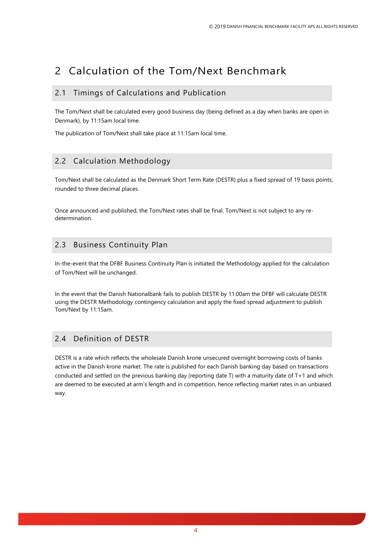## <span id="page-3-0"></span>2 Calculation of the Tom/Next Benchmark

#### <span id="page-3-1"></span>2.1 Timings of Calculations and Publication

The Tom/Next shall be calculated every good business day (being defined as a day when banks are open in Denmark), by 11:15am local time.

The publication of Tom/Next shall take place at 11:15am local time.

#### <span id="page-3-2"></span>2.2 Calculation Methodology

Tom/Next shall be calculated as the Denmark Short Term Rate (DESTR) plus a fixed spread of 19 basis points, rounded to three decimal places.

Once announced and published, the Tom/Next rates shall be final. Tom/Next is not subject to any redetermination.

#### <span id="page-3-3"></span>2.3 Business Continuity Plan

In-the-event that the DFBF Business Continuity Plan is initiated the Methodology applied for the calculation of Tom/Next will be unchanged.

In the event that the Danish Nationalbank fails to publish DESTR by 11:00am the DFBF will calculate DESTR using the DESTR Methodology contingency calculation and apply the fixed spread adjustment to publish Tom/Next by 11:15am.

#### <span id="page-3-4"></span>2.4 Definition of DESTR

DESTR is a rate which reflects the wholesale Danish krone unsecured overnight borrowing costs of banks active in the Danish krone market. The rate is published for each Danish banking day based on transactions conducted and settled on the previous banking day (reporting date T) with a maturity date of T+1 and which are deemed to be executed at arm's length and in competition, hence reflecting market rates in an unbiased way.